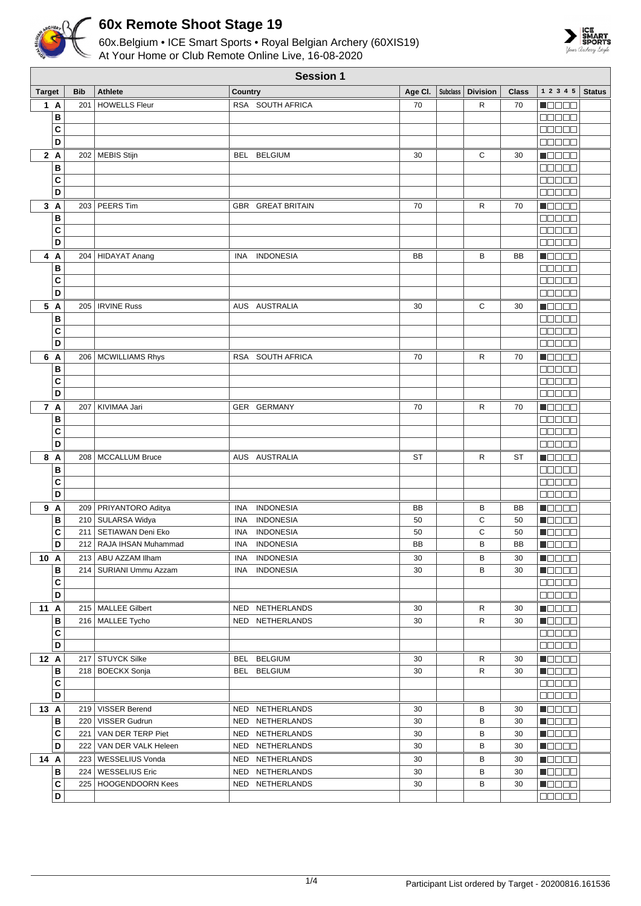

## **60x Remote Shoot Stage 19**

60x.Belgium • ICE Smart Sports • Royal Belgian Archery (60XIS19) At Your Home or Club Remote Online Live, 16-08-2020



| <b>Session 1</b> |        |            |                           |                |                                    |           |                 |                 |           |                                                              |               |
|------------------|--------|------------|---------------------------|----------------|------------------------------------|-----------|-----------------|-----------------|-----------|--------------------------------------------------------------|---------------|
| <b>Target</b>    |        | <b>Bib</b> | <b>Athlete</b>            | <b>Country</b> |                                    | Age Cl.   | <b>Subclass</b> | <b>Division</b> | Class     | 1 2 3 4 5                                                    | <b>Status</b> |
|                  | 1 A    | 201        | <b>HOWELLS Fleur</b>      |                | RSA SOUTH AFRICA                   | 70        |                 | R               | 70        | N DE E E                                                     |               |
|                  | B      |            |                           |                |                                    |           |                 |                 |           | an a sa                                                      |               |
|                  | C      |            |                           |                |                                    |           |                 |                 |           | anaa a                                                       |               |
|                  | D      |            |                           |                |                                    |           |                 |                 |           | 88888                                                        |               |
|                  |        |            |                           |                | <b>BELGIUM</b>                     |           |                 | С               | 30        |                                                              |               |
|                  | 2A     |            | 202   MEBIS Stijn         | BEL            |                                    | 30        |                 |                 |           | n Els Els                                                    |               |
|                  | B      |            |                           |                |                                    |           |                 |                 |           | 00000                                                        |               |
|                  | C      |            |                           |                |                                    |           |                 |                 |           | <b>REBEE</b>                                                 |               |
|                  | D      |            |                           |                |                                    |           |                 |                 |           | e e e e e                                                    |               |
|                  | 3A     |            | 203 PEERS Tim             |                | <b>GBR GREAT BRITAIN</b>           | 70        |                 | R               | 70        | n de ele                                                     |               |
|                  | B      |            |                           |                |                                    |           |                 |                 |           | 00000                                                        |               |
|                  | C      |            |                           |                |                                    |           |                 |                 |           | an a sh                                                      |               |
|                  | D      |            |                           |                |                                    |           |                 |                 |           | 00000                                                        |               |
|                  | 4 A    | 204        | HIDAYAT Anang             | <b>INA</b>     | <b>INDONESIA</b>                   | BB        |                 | в               | BB        | Maaaa                                                        |               |
|                  | В      |            |                           |                |                                    |           |                 |                 |           | eeeee                                                        |               |
|                  | C      |            |                           |                |                                    |           |                 |                 |           | <b>NUUUU</b>                                                 |               |
|                  | D      |            |                           |                |                                    |           |                 |                 |           | 88888                                                        |               |
|                  | 5 A    | 205        | <b>IRVINE Russ</b>        |                | AUS AUSTRALIA                      | 30        |                 | С               | 30        | MA DI DI DI L                                                |               |
|                  | В      |            |                           |                |                                    |           |                 |                 |           | ME E E E                                                     |               |
|                  | C      |            |                           |                |                                    |           |                 |                 |           | a a a a a                                                    |               |
|                  | D      |            |                           |                |                                    |           |                 |                 |           | MAN HA                                                       |               |
|                  | 6 A    |            | 206   MCWILLIAMS Rhys     | RSA            | SOUTH AFRICA                       | 70        |                 | R               | 70        | $\blacksquare$                                               |               |
|                  |        |            |                           |                |                                    |           |                 |                 |           |                                                              |               |
|                  | B      |            |                           |                |                                    |           |                 |                 |           | ME E E E                                                     |               |
|                  | C      |            |                           |                |                                    |           |                 |                 |           | MA MA M                                                      |               |
|                  | D      |            |                           |                |                                    |           |                 |                 |           | 00000                                                        |               |
|                  | 7 A    | 207        | KIVIMAA Jari              |                | GER GERMANY                        | 70        |                 | R               | 70        | n Els Els                                                    |               |
|                  | В      |            |                           |                |                                    |           |                 |                 |           | <b>NODOO</b>                                                 |               |
|                  | C      |            |                           |                |                                    |           |                 |                 |           | a da da                                                      |               |
|                  | D      |            |                           |                |                                    |           |                 |                 |           | <b>00000</b>                                                 |               |
|                  | 8 A    | 208        | <b>MCCALLUM Bruce</b>     |                | AUS AUSTRALIA                      | ST        |                 | R               | <b>ST</b> | M S S S S                                                    |               |
|                  | B      |            |                           |                |                                    |           |                 |                 |           | 88888                                                        |               |
|                  | C      |            |                           |                |                                    |           |                 |                 |           | Maaa a                                                       |               |
|                  | D      |            |                           |                |                                    |           |                 |                 |           | 00000                                                        |               |
|                  | 9 A    |            | 209   PRIYANTORO Aditya   | <b>INA</b>     | <b>INDONESIA</b>                   | BB        |                 | в               | BB        | MOOOO                                                        |               |
|                  | В      | 210        | SULARSA Widya             | <b>INA</b>     | <b>INDONESIA</b>                   | 50        |                 | С               | 50        | Maaaa                                                        |               |
|                  | C      | 211        | SETIAWAN Deni Eko         | <b>INA</b>     | <b>INDONESIA</b>                   | 50        |                 | С               | 50        | Maaaa                                                        |               |
|                  | D      |            | 212   RAJA IHSAN Muhammad | <b>INA</b>     | <b>INDONESIA</b>                   | <b>BB</b> |                 | B               | <b>BB</b> | Maaaa                                                        |               |
| 10 A             |        |            | 213   ABU AZZAM Ilham     | INA            | <b>INDONESIA</b>                   | 30        |                 | В               | 30        | <u> Nasar</u>                                                |               |
|                  | в      |            | 214   SURIANI Ummu Azzam  | INA            | <b>INDONESIA</b>                   | 30        |                 | в               | 30        | $\blacksquare$ $\square$ $\square$ $\square$                 |               |
|                  | С      |            |                           |                |                                    |           |                 |                 |           | 88888                                                        |               |
|                  | D      |            |                           |                |                                    |           |                 |                 |           | 88888                                                        |               |
|                  |        |            | 215   MALLEE Gilbert      |                |                                    | 30        |                 | R               | 30        |                                                              |               |
| 11 A             | в      |            | 216   MALLEE Tycho        |                | NED NETHERLANDS<br>NED NETHERLANDS | 30        |                 | R               | 30        | $\blacksquare$ $\square$ $\square$ $\square$<br><b>Macao</b> |               |
|                  |        |            |                           |                |                                    |           |                 |                 |           |                                                              |               |
|                  | C<br>D |            |                           |                |                                    |           |                 |                 |           | 00000                                                        |               |
|                  |        |            |                           |                |                                    |           |                 |                 |           | <b>00000</b>                                                 |               |
| 12 A             |        |            | 217   STUYCK Silke        |                | BEL BELGIUM                        | 30        |                 | R               | 30        | <b>Manae</b>                                                 |               |
|                  | в      |            | 218 BOECKX Sonja          |                | BEL BELGIUM                        | 30        |                 | R               | 30        | $\blacksquare$ $\blacksquare$ $\blacksquare$ $\blacksquare$  |               |
|                  | C      |            |                           |                |                                    |           |                 |                 |           | 00000                                                        |               |
|                  | D      |            |                           |                |                                    |           |                 |                 |           | <b>00000</b>                                                 |               |
| 13 A             |        |            | 219 VISSER Berend         |                | NED NETHERLANDS                    | 30        |                 | В               | 30        | <b>Madaa</b>                                                 |               |
|                  | в      |            | 220   VISSER Gudrun       |                | NED NETHERLANDS                    | 30        |                 | в               | 30        | <b>H</b> OOOO                                                |               |
|                  | C      |            | 221   VAN DER TERP Piet   |                | NED NETHERLANDS                    | 30        |                 | в               | 30        | <b>Reces</b>                                                 |               |
|                  | D      |            | 222   VAN DER VALK Heleen |                | NED NETHERLANDS                    | 30        |                 | В               | 30        | $\blacksquare$                                               |               |
| 14 A             |        |            | 223   WESSELIUS Vonda     |                | NED NETHERLANDS                    | 30        |                 | в               | 30        | <b>H</b> OOOO                                                |               |
|                  | в      |            | 224   WESSELIUS Eric      |                | NED NETHERLANDS                    | 30        |                 | в               | 30        | $\blacksquare$                                               |               |
|                  | C      |            | 225   HOOGENDOORN Kees    |                | NED NETHERLANDS                    | 30        |                 | в               | 30        | $\blacksquare$ $\square$ $\square$ $\blacksquare$            |               |
|                  | D      |            |                           |                |                                    |           |                 |                 |           | 00000                                                        |               |
|                  |        |            |                           |                |                                    |           |                 |                 |           |                                                              |               |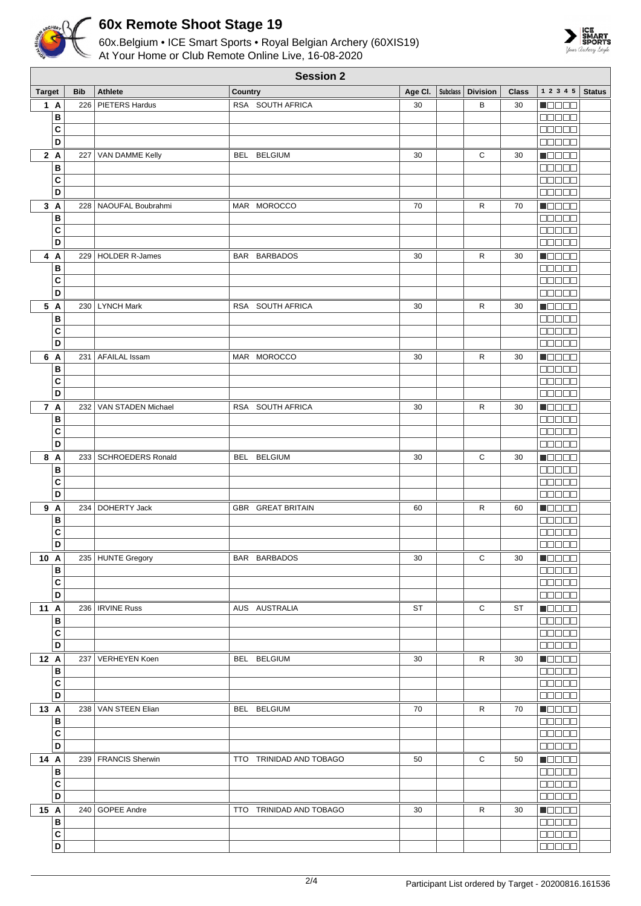

## **60x Remote Shoot Stage 19**

60x.Belgium • ICE Smart Sports • Royal Belgian Archery (60XIS19) At Your Home or Club Remote Online Live, 16-08-2020



| <b>Session 2</b> |                         |            |                          |                         |         |  |                     |       |                                              |               |
|------------------|-------------------------|------------|--------------------------|-------------------------|---------|--|---------------------|-------|----------------------------------------------|---------------|
| <b>Target</b>    |                         | <b>Bib</b> | <b>Athlete</b>           | Country                 | Age Cl. |  | Subclass   Division | Class | 1 2 3 4 5                                    | <b>Status</b> |
| 1 A              |                         | 226        | PIETERS Hardus           | RSA SOUTH AFRICA        | 30      |  | В                   | 30    | $\blacksquare$                               |               |
|                  | В                       |            |                          |                         |         |  |                     |       | a da da                                      |               |
|                  | C                       |            |                          |                         |         |  |                     |       | <b>BBBBB</b>                                 |               |
|                  | D                       |            |                          |                         |         |  |                     |       | $\Box \Box \Box \Box \Box$                   |               |
| 2A               |                         |            | 227 VAN DAMME Kelly      | BEL BELGIUM             | 30      |  | С                   | 30    | <b>Maaaa</b>                                 |               |
|                  | В                       |            |                          |                         |         |  |                     |       | 00000                                        |               |
|                  | C                       |            |                          |                         |         |  |                     |       | 88888                                        |               |
|                  | D                       |            |                          |                         |         |  |                     |       | <b>00000</b>                                 |               |
| 3A               |                         |            | 228 NAOUFAL Boubrahmi    | MAR MOROCCO             | 70      |  | R                   | 70    | Maaaa                                        |               |
|                  |                         |            |                          |                         |         |  |                     |       | <b>BEBEE</b>                                 |               |
|                  | В                       |            |                          |                         |         |  |                     |       | $\Box$ $\Box$ $\Box$ $\Box$ $\Box$           |               |
|                  | C<br>D                  |            |                          |                         |         |  |                     |       | <b>BBBBB</b>                                 |               |
|                  |                         |            |                          |                         |         |  |                     |       |                                              |               |
| 4 A              |                         |            | 229   HOLDER R-James     | BAR BARBADOS            | 30      |  | R                   | 30    | <b>MOOOO</b>                                 |               |
|                  | в                       |            |                          |                         |         |  |                     |       | <b>BBBBB</b>                                 |               |
|                  | C                       |            |                          |                         |         |  |                     |       | 00000                                        |               |
|                  | D                       |            |                          |                         |         |  |                     |       | 00000                                        |               |
| 5 A              |                         |            | 230 LYNCH Mark           | RSA SOUTH AFRICA        | 30      |  | R                   | 30    | $\blacksquare$                               |               |
|                  | В                       |            |                          |                         |         |  |                     |       | <b>00000</b>                                 |               |
|                  | C                       |            |                          |                         |         |  |                     |       | 00000                                        |               |
|                  | D                       |            |                          |                         |         |  |                     |       | $\Box$ $\Box$ $\Box$ $\Box$ $\Box$           |               |
| 6 A              |                         | 231        | <b>AFAILAL Issam</b>     | MAR MOROCCO             | 30      |  | R                   | 30    | <b>MODOO</b>                                 |               |
|                  | В                       |            |                          |                         |         |  |                     |       | a da da                                      |               |
|                  | C                       |            |                          |                         |         |  |                     |       | <b>BBBBB</b>                                 |               |
|                  | D                       |            |                          |                         |         |  |                     |       | <b>BEEBE</b>                                 |               |
| 7 A              |                         |            | 232   VAN STADEN Michael | RSA SOUTH AFRICA        | 30      |  | R                   | 30    | <b>Maaaa</b>                                 |               |
|                  | В                       |            |                          |                         |         |  |                     |       | 00000                                        |               |
|                  | C                       |            |                          |                         |         |  |                     |       | $\Box$ $\Box$ $\Box$ $\Box$ $\Box$           |               |
|                  | D                       |            |                          |                         |         |  |                     |       | <b>COOOO</b>                                 |               |
| 8 A              |                         |            | 233   SCHROEDERS Ronald  | BEL BELGIUM             | 30      |  | С                   | 30    | Maaaa                                        |               |
|                  | В                       |            |                          |                         |         |  |                     |       | <b>00000</b>                                 |               |
|                  | C                       |            |                          |                         |         |  |                     |       | $\Box$ $\Box$ $\Box$ $\Box$ $\Box$           |               |
|                  | D                       |            |                          |                         |         |  |                     |       | 00000                                        |               |
| 9 A              |                         |            | 234   DOHERTY Jack       | GBR GREAT BRITAIN       | 60      |  | R                   | 60    | <b>Nacao</b>                                 |               |
|                  | В                       |            |                          |                         |         |  |                     |       | <b>00000</b>                                 |               |
|                  | C                       |            |                          |                         |         |  |                     |       | 00000                                        |               |
|                  | D                       |            |                          |                         |         |  |                     |       | <b>00000</b>                                 |               |
| $10\hbox{ A}$    |                         |            | 235   HUNTE Gregory      | BAR BARBADOS            | 30      |  | С                   | 30    | <b>HOOOO</b>                                 |               |
|                  | В                       |            |                          |                         |         |  |                     |       | $\Box$ $\Box$ $\Box$ $\Box$                  |               |
|                  | C                       |            |                          |                         |         |  |                     |       | <b>00000</b>                                 |               |
|                  | D                       |            |                          |                         |         |  |                     |       | 00000                                        |               |
| 11 A             |                         |            | 236   IRVINE Russ        | AUS AUSTRALIA           | ST      |  | С                   | ST    | $\blacksquare$ $\square$ $\square$ $\square$ |               |
|                  | B                       |            |                          |                         |         |  |                     |       | 00000                                        |               |
|                  | С                       |            |                          |                         |         |  |                     |       | <b>00000</b>                                 |               |
|                  | D                       |            |                          |                         |         |  |                     |       | $\Box \Box \Box \Box \Box$                   |               |
| 12 A             |                         |            | 237   VERHEYEN Koen      | BEL BELGIUM             | 30      |  | R                   | 30    | Maaaa                                        |               |
|                  | В                       |            |                          |                         |         |  |                     |       | 00000                                        |               |
|                  | C                       |            |                          |                         |         |  |                     |       |                                              |               |
|                  | D                       |            |                          |                         |         |  |                     |       | $\Box$                                       |               |
| 13 A             |                         |            | 238 VAN STEEN Elian      | BEL BELGIUM             | 70      |  | $\mathsf{R}$        | 70    | <b>Reces</b>                                 |               |
|                  | B                       |            |                          |                         |         |  |                     |       | $\Box \Box \Box \Box \Box$                   |               |
|                  | C                       |            |                          |                         |         |  |                     |       | $\Box$ $\Box$ $\Box$ $\Box$ $\Box$           |               |
|                  | D                       |            |                          |                         |         |  |                     |       | 00000                                        |               |
| 14 A             |                         |            | 239   FRANCIS Sherwin    | TTO TRINIDAD AND TOBAGO | 50      |  | $\mathsf C$         | 50    | $\blacksquare$                               |               |
|                  | В                       |            |                          |                         |         |  |                     |       | <b>00000</b>                                 |               |
|                  | С                       |            |                          |                         |         |  |                     |       | 00000                                        |               |
|                  | D                       |            |                          |                         |         |  |                     |       | 00000                                        |               |
| 15 A             |                         |            | 240 GOPEE Andre          | TTO TRINIDAD AND TOBAGO | 30      |  | R                   | 30    | $\blacksquare$                               |               |
|                  | В                       |            |                          |                         |         |  |                     |       | <b>DDDDD</b>                                 |               |
|                  | $\mathbf{C}$            |            |                          |                         |         |  |                     |       | $\Box \Box \Box \Box \Box$                   |               |
|                  | $\overline{\mathsf{D}}$ |            |                          |                         |         |  |                     |       | 88888                                        |               |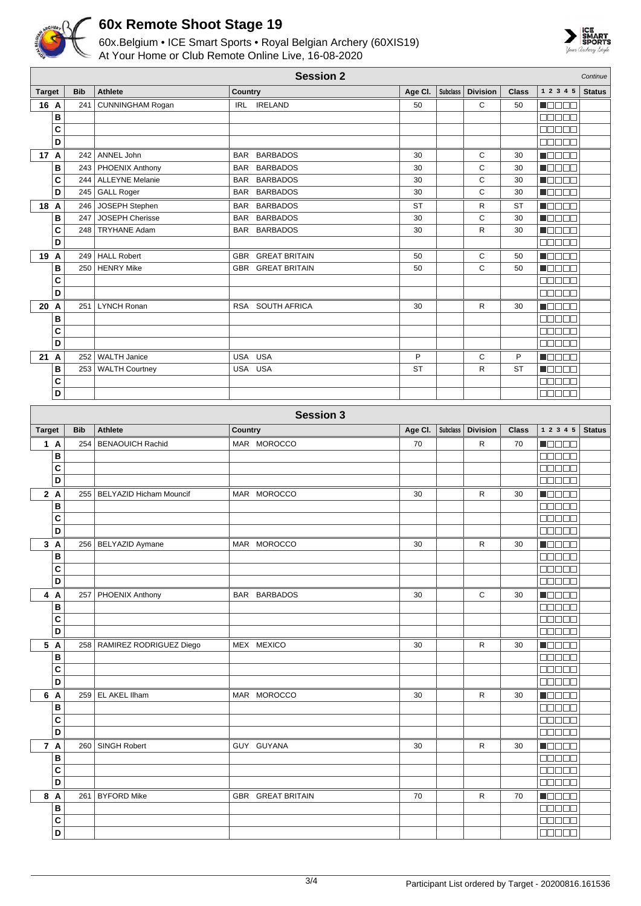

**B C D**

**B C D**

## **60x Remote Shoot Stage 19**

60x.Belgium • ICE Smart Sports • Royal Belgian Archery (60XIS19) At Your Home or Club Remote Online Live, 16-08-2020



|               | <b>Session 2</b><br>Continue |            |                                |                |                   |           |                 |                 |              |                |               |
|---------------|------------------------------|------------|--------------------------------|----------------|-------------------|-----------|-----------------|-----------------|--------------|----------------|---------------|
| <b>Target</b> |                              | <b>Bib</b> | <b>Athlete</b>                 | <b>Country</b> |                   | Age Cl.   | Subclass        | <b>Division</b> | <b>Class</b> | 1 2 3 4 5      | <b>Status</b> |
| 16 A          |                              | 241        | <b>CUNNINGHAM Rogan</b>        |                | IRL IRELAND       | 50        |                 | C               | 50           | <b>MODOO</b>   |               |
|               | В                            |            |                                |                |                   |           |                 |                 |              | an na s        |               |
|               | C                            |            |                                |                |                   |           |                 |                 |              | an an a        |               |
|               | D                            |            |                                |                |                   |           |                 |                 |              | <b>BOBBB</b>   |               |
| 17 A          |                              | 242        | ANNEL John                     |                | BAR BARBADOS      | 30        |                 | С               | 30           | Maaaa          |               |
|               | В                            | 243        | PHOENIX Anthony                |                | BAR BARBADOS      | 30        |                 | С               | 30           | <b>NEBEE</b>   |               |
|               | C                            | 244        | <b>ALLEYNE Melanie</b>         |                | BAR BARBADOS      | 30        |                 | C               | 30           | <b>Nedee</b>   |               |
|               | D                            | 245        | GALL Roger                     |                | BAR BARBADOS      | 30        |                 | C               | 30           | Maaaa          |               |
| 18 A          |                              | 246        | JOSEPH Stephen                 |                | BAR BARBADOS      | <b>ST</b> |                 | R               | ST           | Maaaa          |               |
|               | B                            | 247        | JOSEPH Cherisse                |                | BAR BARBADOS      | 30        |                 | C               | 30           | <b>MODDE</b>   |               |
|               | C                            | 248        | <b>TRYHANE Adam</b>            |                | BAR BARBADOS      | 30        |                 | $\mathsf{R}$    | 30           | $\blacksquare$ |               |
|               | D                            |            |                                |                |                   |           |                 |                 |              | Maaan          |               |
| 19 A          |                              | 249        | <b>HALL Robert</b>             |                | GBR GREAT BRITAIN | 50        |                 | С               | 50           | Maaaa          |               |
|               | B                            | 250        | <b>HENRY Mike</b>              |                | GBR GREAT BRITAIN | 50        |                 | C               | 50           | M D D D U      |               |
|               | C                            |            |                                |                |                   |           |                 |                 |              | <b>NUUUU</b>   |               |
|               | D                            |            |                                |                |                   |           |                 |                 |              | 00000          |               |
| 20 A          |                              | 251        | LYNCH Ronan                    |                | RSA SOUTH AFRICA  | 30        |                 | R               | 30           | N OO OO        |               |
|               | В                            |            |                                |                |                   |           |                 |                 |              | 00000          |               |
|               | C                            |            |                                |                |                   |           |                 |                 |              | an an a        |               |
|               | D                            |            |                                |                |                   |           |                 |                 |              | 88888          |               |
| 21 A          |                              | 252        | <b>WALTH Janice</b>            | USA USA        |                   | P         |                 | C               | P            | n da a a       |               |
|               | В                            | 253        | <b>WALTH Courtney</b>          | USA USA        |                   | <b>ST</b> |                 | R               | ST           | n de e e       |               |
|               | C                            |            |                                |                |                   |           |                 |                 |              | 88888          |               |
|               | D                            |            |                                |                |                   |           |                 |                 |              | <b>BBBBB</b>   |               |
|               |                              |            |                                |                |                   |           |                 |                 |              |                |               |
|               |                              |            |                                |                | <b>Session 3</b>  |           |                 |                 |              |                |               |
| <b>Target</b> |                              | <b>Bib</b> | <b>Athlete</b>                 | Country        |                   | Age Cl.   | <b>Subclass</b> | <b>Division</b> | <b>Class</b> | 1 2 3 4 5      | <b>Status</b> |
| 1 A           |                              | 254        | <b>BENAOUICH Rachid</b>        |                | MAR MOROCCO       | 70        |                 | R               | 70           | Maaaa          |               |
|               | B                            |            |                                |                |                   |           |                 |                 |              | ana ao         |               |
|               | C                            |            |                                |                |                   |           |                 |                 |              | <b>NODOO</b>   |               |
|               | D                            |            |                                |                |                   |           |                 |                 |              | 00000          |               |
| 2A            |                              | 255        | <b>BELYAZID Hicham Mouncif</b> |                | MAR MOROCCO       | 30        |                 | R               | 30           | <b>M</b> ODOO  |               |
|               | В                            |            |                                |                |                   |           |                 |                 |              | <b>BBBBB</b>   |               |
|               | C                            |            |                                |                |                   |           |                 |                 |              | 88888          |               |
|               | D                            |            |                                |                |                   |           |                 |                 |              | <b>NODOD</b>   |               |
|               | 3 A                          |            | 256 BELYAZID Aymane            |                | MAR MOROCCO       | 30        |                 | R               | 30           | $\blacksquare$ |               |
|               | в                            |            |                                |                |                   |           |                 |                 |              | 00000          |               |
|               | C                            |            |                                |                |                   |           |                 |                 |              | 88888          |               |
|               | D                            |            |                                |                |                   |           |                 |                 |              | <b>REBEL</b>   |               |
| 4 A           |                              |            | 257 PHOENIX Anthony            |                | BAR BARBADOS      | 30        |                 | C               | 30           | <b>MODDE</b>   |               |
|               | B                            |            |                                |                |                   |           |                 |                 |              | 88888          |               |
|               | C                            |            |                                |                |                   |           |                 |                 |              | <b>00000</b>   |               |
|               | D                            |            |                                |                |                   |           |                 |                 |              | 88888          |               |
|               | 5 A                          |            | 258   RAMIREZ RODRIGUEZ Diego  |                | MEX MEXICO        | 30        |                 | R               | 30           | <b>Manag</b>   |               |
|               | B                            |            |                                |                |                   |           |                 |                 |              | 88888          |               |
|               | С                            |            |                                |                |                   |           |                 |                 |              | 88888          |               |
|               | D                            |            |                                |                |                   |           |                 |                 |              | 00000          |               |
|               | 6 A                          |            | 259 EL AKEL Ilham              |                | MAR MOROCCO       | 30        |                 | R               | 30           | <b>H</b> OOOO  |               |
|               | $\, {\bf B}$<br>$\mathbf{C}$ |            |                                |                |                   |           |                 |                 |              | 88888<br>00000 |               |

 $\blacksquare$ 00000 **COLOR**  $\blacksquare$ 00000 00000

**7 A** 260 SINGH Robert GUY GUYANA 30 R 30

**8 A** 261 BYFORD Mike GBR GREAT BRITAIN 70 R 70